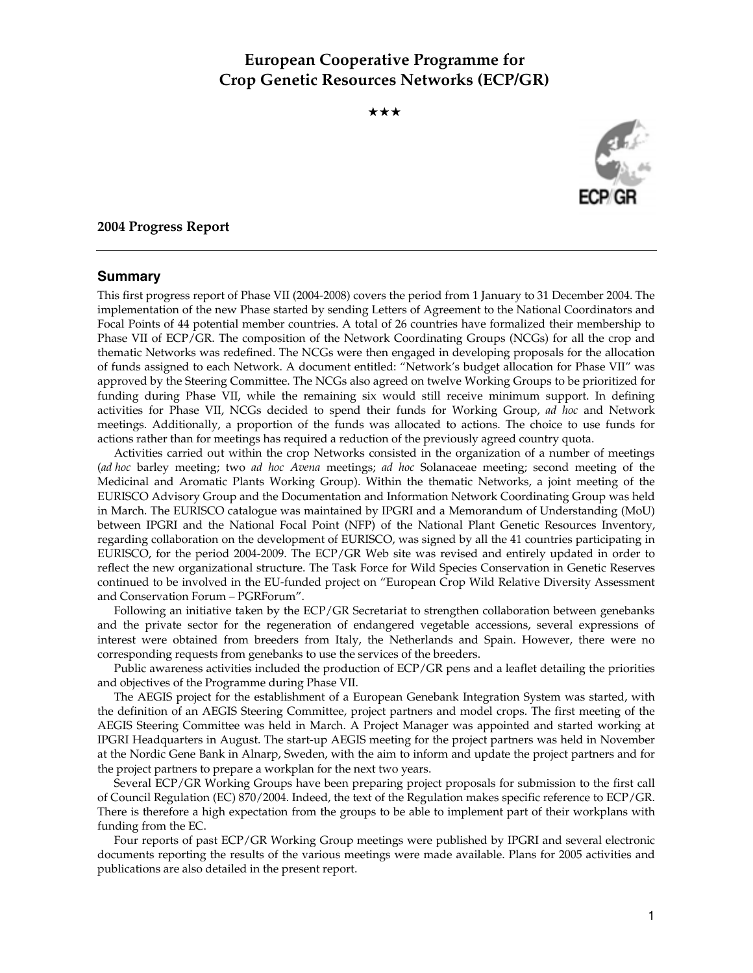# **European Cooperative Programme for Crop Genetic Resources Networks (ECP/GR)**

★★★



#### **2004 Progress Report**

#### **Summary**

This first progress report of Phase VII (2004-2008) covers the period from 1 January to 31 December 2004. The implementation of the new Phase started by sending Letters of Agreement to the National Coordinators and Focal Points of 44 potential member countries. A total of 26 countries have formalized their membership to Phase VII of ECP/GR. The composition of the Network Coordinating Groups (NCGs) for all the crop and thematic Networks was redefined. The NCGs were then engaged in developing proposals for the allocation of funds assigned to each Network. A document entitled: "Network's budget allocation for Phase VII" was approved by the Steering Committee. The NCGs also agreed on twelve Working Groups to be prioritized for funding during Phase VII, while the remaining six would still receive minimum support. In defining activities for Phase VII, NCGs decided to spend their funds for Working Group, *ad hoc* and Network meetings. Additionally, a proportion of the funds was allocated to actions. The choice to use funds for actions rather than for meetings has required a reduction of the previously agreed country quota.

 Activities carried out within the crop Networks consisted in the organization of a number of meetings (*ad hoc* barley meeting; two *ad hoc Avena* meetings; *ad hoc* Solanaceae meeting; second meeting of the Medicinal and Aromatic Plants Working Group). Within the thematic Networks, a joint meeting of the EURISCO Advisory Group and the Documentation and Information Network Coordinating Group was held in March. The EURISCO catalogue was maintained by IPGRI and a Memorandum of Understanding (MoU) between IPGRI and the National Focal Point (NFP) of the National Plant Genetic Resources Inventory, regarding collaboration on the development of EURISCO, was signed by all the 41 countries participating in EURISCO, for the period 2004-2009. The ECP/GR Web site was revised and entirely updated in order to reflect the new organizational structure. The Task Force for Wild Species Conservation in Genetic Reserves continued to be involved in the EU-funded project on "European Crop Wild Relative Diversity Assessment and Conservation Forum – PGRForum".

 Following an initiative taken by the ECP/GR Secretariat to strengthen collaboration between genebanks and the private sector for the regeneration of endangered vegetable accessions, several expressions of interest were obtained from breeders from Italy, the Netherlands and Spain. However, there were no corresponding requests from genebanks to use the services of the breeders.

 Public awareness activities included the production of ECP/GR pens and a leaflet detailing the priorities and objectives of the Programme during Phase VII.

 The AEGIS project for the establishment of a European Genebank Integration System was started, with the definition of an AEGIS Steering Committee, project partners and model crops. The first meeting of the AEGIS Steering Committee was held in March. A Project Manager was appointed and started working at IPGRI Headquarters in August. The start-up AEGIS meeting for the project partners was held in November at the Nordic Gene Bank in Alnarp, Sweden, with the aim to inform and update the project partners and for the project partners to prepare a workplan for the next two years.

 Several ECP/GR Working Groups have been preparing project proposals for submission to the first call of Council Regulation (EC) 870/2004. Indeed, the text of the Regulation makes specific reference to ECP/GR. There is therefore a high expectation from the groups to be able to implement part of their workplans with funding from the EC.

 Four reports of past ECP/GR Working Group meetings were published by IPGRI and several electronic documents reporting the results of the various meetings were made available. Plans for 2005 activities and publications are also detailed in the present report.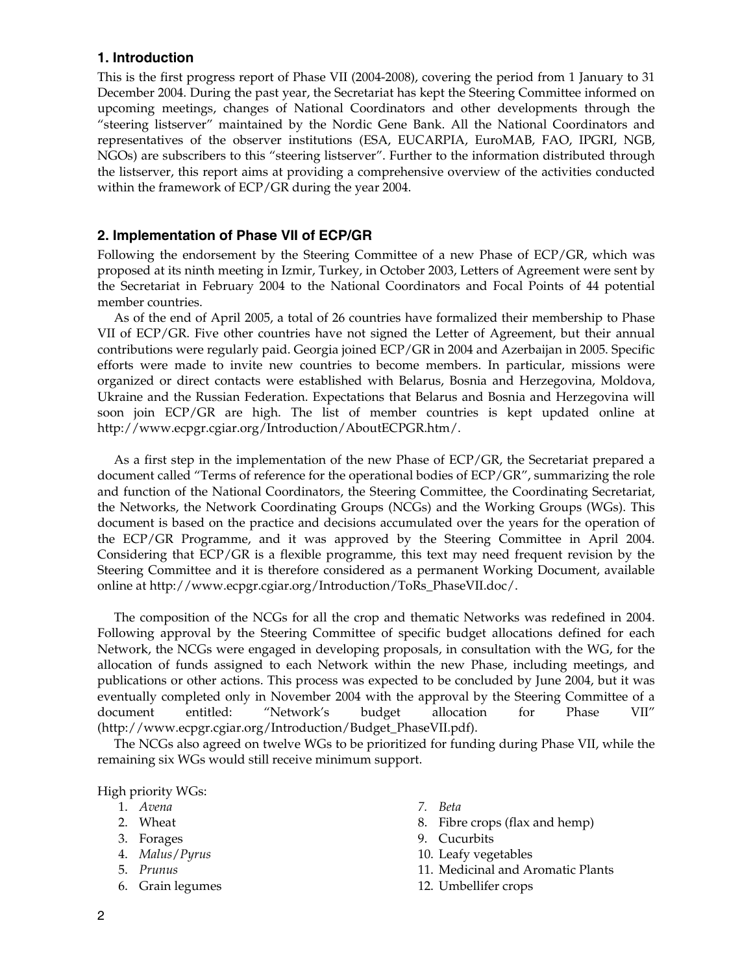# **1. Introduction**

This is the first progress report of Phase VII (2004-2008), covering the period from 1 January to 31 December 2004. During the past year, the Secretariat has kept the Steering Committee informed on upcoming meetings, changes of National Coordinators and other developments through the "steering listserver" maintained by the Nordic Gene Bank. All the National Coordinators and representatives of the observer institutions (ESA, EUCARPIA, EuroMAB, FAO, IPGRI, NGB, NGOs) are subscribers to this "steering listserver". Further to the information distributed through the listserver, this report aims at providing a comprehensive overview of the activities conducted within the framework of ECP/GR during the year 2004.

# **2. Implementation of Phase VII of ECP/GR**

Following the endorsement by the Steering Committee of a new Phase of ECP/GR, which was proposed at its ninth meeting in Izmir, Turkey, in October 2003, Letters of Agreement were sent by the Secretariat in February 2004 to the National Coordinators and Focal Points of 44 potential member countries.

 As of the end of April 2005, a total of 26 countries have formalized their membership to Phase VII of ECP/GR. Five other countries have not signed the Letter of Agreement, but their annual contributions were regularly paid. Georgia joined ECP/GR in 2004 and Azerbaijan in 2005. Specific efforts were made to invite new countries to become members. In particular, missions were organized or direct contacts were established with Belarus, Bosnia and Herzegovina, Moldova, Ukraine and the Russian Federation. Expectations that Belarus and Bosnia and Herzegovina will soon join ECP/GR are high. The list of member countries is kept updated online at http://www.ecpgr.cgiar.org/Introduction/AboutECPGR.htm/.

 As a first step in the implementation of the new Phase of ECP/GR, the Secretariat prepared a document called "Terms of reference for the operational bodies of ECP/GR", summarizing the role and function of the National Coordinators, the Steering Committee, the Coordinating Secretariat, the Networks, the Network Coordinating Groups (NCGs) and the Working Groups (WGs). This document is based on the practice and decisions accumulated over the years for the operation of the ECP/GR Programme, and it was approved by the Steering Committee in April 2004. Considering that ECP/GR is a flexible programme, this text may need frequent revision by the Steering Committee and it is therefore considered as a permanent Working Document, available online at http://www.ecpgr.cgiar.org/Introduction/ToRs\_PhaseVII.doc/.

 The composition of the NCGs for all the crop and thematic Networks was redefined in 2004. Following approval by the Steering Committee of specific budget allocations defined for each Network, the NCGs were engaged in developing proposals, in consultation with the WG, for the allocation of funds assigned to each Network within the new Phase, including meetings, and publications or other actions. This process was expected to be concluded by June 2004, but it was eventually completed only in November 2004 with the approval by the Steering Committee of a document entitled: "Network's budget allocation for Phase VII" (http://www.ecpgr.cgiar.org/Introduction/Budget\_PhaseVII.pdf).

 The NCGs also agreed on twelve WGs to be prioritized for funding during Phase VII, while the remaining six WGs would still receive minimum support.

High priority WGs:

- 1. *Avena*
- 2. Wheat
- 3. Forages
- 4. *Malus*/*Pyrus*
- 5. *Prunus*
- 6. Grain legumes
- *7. Beta*
- 8. Fibre crops (flax and hemp)
- 9. Cucurbits
- 10. Leafy vegetables
- 11. Medicinal and Aromatic Plants
- 12. Umbellifer crops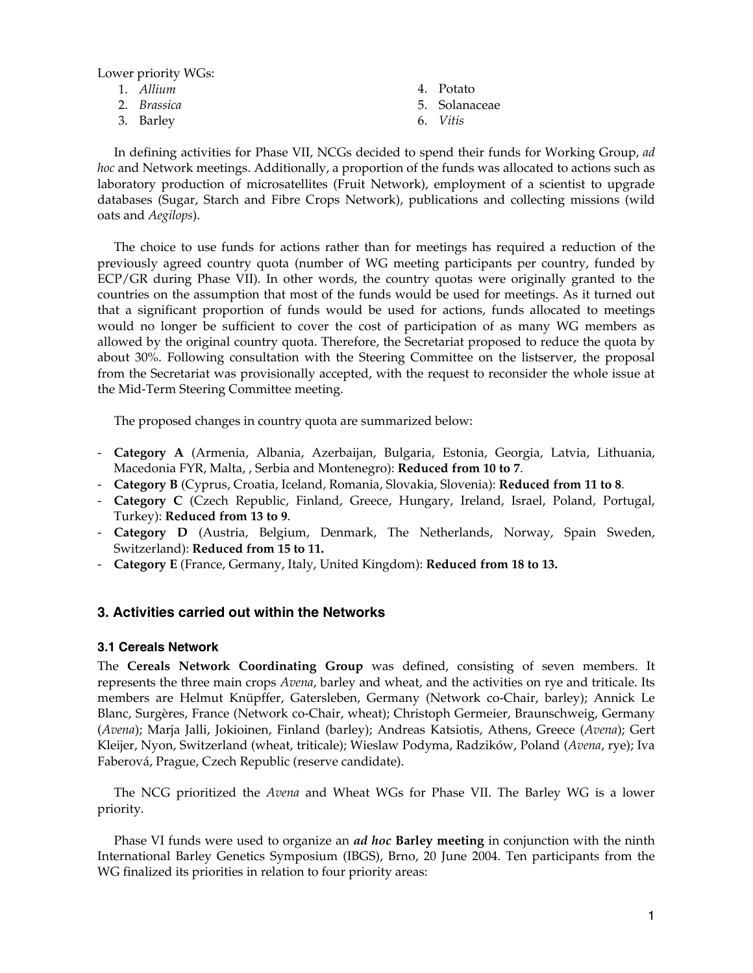Lower priority WGs:

- 1. *Allium*
- 2. *Brassica*
- 3. Barley
- 4. Potato
- 5. Solanaceae
- 6. *Vitis*

 In defining activities for Phase VII, NCGs decided to spend their funds for Working Group, *ad hoc* and Network meetings. Additionally, a proportion of the funds was allocated to actions such as laboratory production of microsatellites (Fruit Network), employment of a scientist to upgrade databases (Sugar, Starch and Fibre Crops Network), publications and collecting missions (wild oats and *Aegilops*).

 The choice to use funds for actions rather than for meetings has required a reduction of the previously agreed country quota (number of WG meeting participants per country, funded by ECP/GR during Phase VII). In other words, the country quotas were originally granted to the countries on the assumption that most of the funds would be used for meetings. As it turned out that a significant proportion of funds would be used for actions, funds allocated to meetings would no longer be sufficient to cover the cost of participation of as many WG members as allowed by the original country quota. Therefore, the Secretariat proposed to reduce the quota by about 30%. Following consultation with the Steering Committee on the listserver, the proposal from the Secretariat was provisionally accepted, with the request to reconsider the whole issue at the Mid-Term Steering Committee meeting.

The proposed changes in country quota are summarized below:

- **Category A** (Armenia, Albania, Azerbaijan, Bulgaria, Estonia, Georgia, Latvia, Lithuania, Macedonia FYR, Malta, , Serbia and Montenegro): **Reduced from 10 to 7**.
- **Category B** (Cyprus, Croatia, Iceland, Romania, Slovakia, Slovenia): **Reduced from 11 to 8**.
- **Category C** (Czech Republic, Finland, Greece, Hungary, Ireland, Israel, Poland, Portugal, Turkey): **Reduced from 13 to 9**.
- **Category D** (Austria, Belgium, Denmark, The Netherlands, Norway, Spain Sweden, Switzerland): **Reduced from 15 to 11.**
- **Category E** (France, Germany, Italy, United Kingdom): **Reduced from 18 to 13.**

## **3. Activities carried out within the Networks**

#### **3.1 Cereals Network**

The **Cereals Network Coordinating Group** was defined, consisting of seven members. It represents the three main crops *Avena*, barley and wheat, and the activities on rye and triticale. Its members are Helmut Knüpffer, Gatersleben, Germany (Network co-Chair, barley); Annick Le Blanc, Surgères, France (Network co-Chair, wheat); Christoph Germeier, Braunschweig, Germany (*Avena*); Marja Jalli, Jokioinen, Finland (barley); Andreas Katsiotis, Athens, Greece (*Avena*); Gert Kleijer, Nyon, Switzerland (wheat, triticale); Wieslaw Podyma, Radzików, Poland (*Avena*, rye); Iva Faberová, Prague, Czech Republic (reserve candidate).

 The NCG prioritized the *Avena* and Wheat WGs for Phase VII. The Barley WG is a lower priority.

 Phase VI funds were used to organize an *ad hoc* **Barley meeting** in conjunction with the ninth International Barley Genetics Symposium (IBGS), Brno, 20 June 2004. Ten participants from the WG finalized its priorities in relation to four priority areas: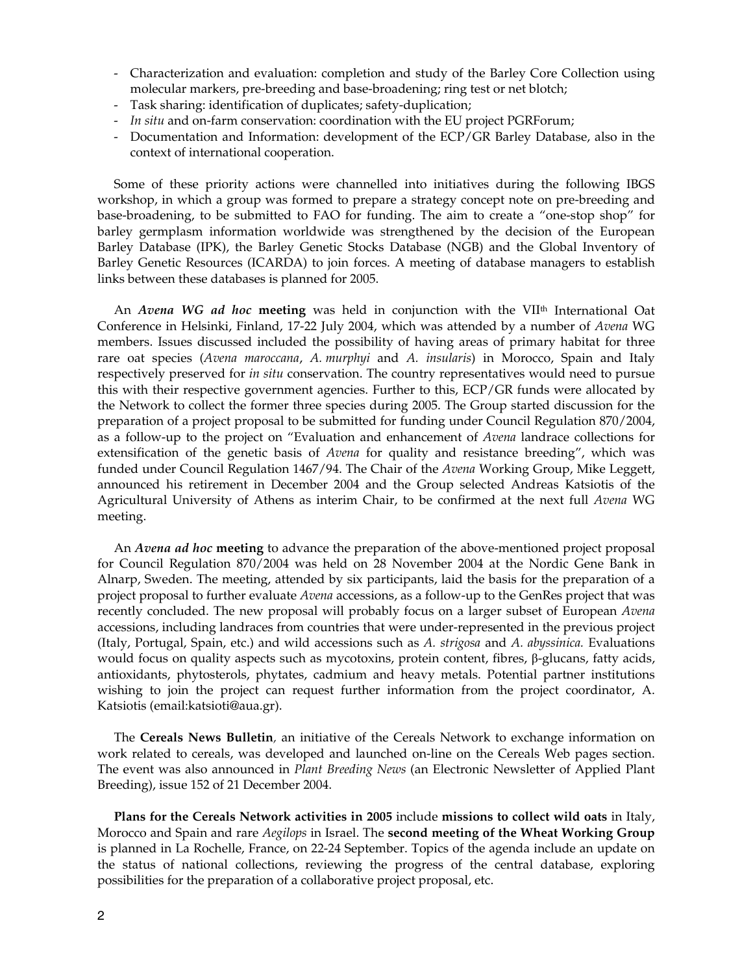- Characterization and evaluation: completion and study of the Barley Core Collection using molecular markers, pre-breeding and base-broadening; ring test or net blotch;
- Task sharing: identification of duplicates; safety-duplication;
- *In situ* and on-farm conservation: coordination with the EU project PGRForum;
- Documentation and Information: development of the ECP/GR Barley Database, also in the context of international cooperation.

 Some of these priority actions were channelled into initiatives during the following IBGS workshop, in which a group was formed to prepare a strategy concept note on pre-breeding and base-broadening, to be submitted to FAO for funding. The aim to create a "one-stop shop" for barley germplasm information worldwide was strengthened by the decision of the European Barley Database (IPK), the Barley Genetic Stocks Database (NGB) and the Global Inventory of Barley Genetic Resources (ICARDA) to join forces. A meeting of database managers to establish links between these databases is planned for 2005.

An *Avena WG ad hoc* meeting was held in conjunction with the VII<sup>th</sup> International Oat Conference in Helsinki, Finland, 17-22 July 2004, which was attended by a number of *Avena* WG members. Issues discussed included the possibility of having areas of primary habitat for three rare oat species (*Avena maroccana*, *A. murphyi* and *A. insularis*) in Morocco, Spain and Italy respectively preserved for *in situ* conservation. The country representatives would need to pursue this with their respective government agencies. Further to this, ECP/GR funds were allocated by the Network to collect the former three species during 2005. The Group started discussion for the preparation of a project proposal to be submitted for funding under Council Regulation 870/2004, as a follow-up to the project on "Evaluation and enhancement of *Avena* landrace collections for extensification of the genetic basis of *Avena* for quality and resistance breeding", which was funded under Council Regulation 1467/94. The Chair of the *Avena* Working Group, Mike Leggett, announced his retirement in December 2004 and the Group selected Andreas Katsiotis of the Agricultural University of Athens as interim Chair, to be confirmed at the next full *Avena* WG meeting.

 An *Avena ad hoc* **meeting** to advance the preparation of the above-mentioned project proposal for Council Regulation 870/2004 was held on 28 November 2004 at the Nordic Gene Bank in Alnarp, Sweden. The meeting, attended by six participants, laid the basis for the preparation of a project proposal to further evaluate *Avena* accessions, as a follow-up to the GenRes project that was recently concluded. The new proposal will probably focus on a larger subset of European *Avena* accessions, including landraces from countries that were under-represented in the previous project (Italy, Portugal, Spain, etc.) and wild accessions such as *A. strigosa* and *A. abyssinica.* Evaluations would focus on quality aspects such as mycotoxins, protein content, fibres, β-glucans, fatty acids, antioxidants, phytosterols, phytates, cadmium and heavy metals. Potential partner institutions wishing to join the project can request further information from the project coordinator, A. Katsiotis (email:katsioti@aua.gr).

 The **Cereals News Bulletin***,* an initiative of the Cereals Network to exchange information on work related to cereals, was developed and launched on-line on the Cereals Web pages section. The event was also announced in *Plant Breeding News* (an Electronic Newsletter of Applied Plant Breeding), issue 152 of 21 December 2004.

 **Plans for the Cereals Network activities in 2005** include **missions to collect wild oats** in Italy, Morocco and Spain and rare *Aegilops* in Israel. The **second meeting of the Wheat Working Group** is planned in La Rochelle, France, on 22-24 September. Topics of the agenda include an update on the status of national collections, reviewing the progress of the central database, exploring possibilities for the preparation of a collaborative project proposal, etc.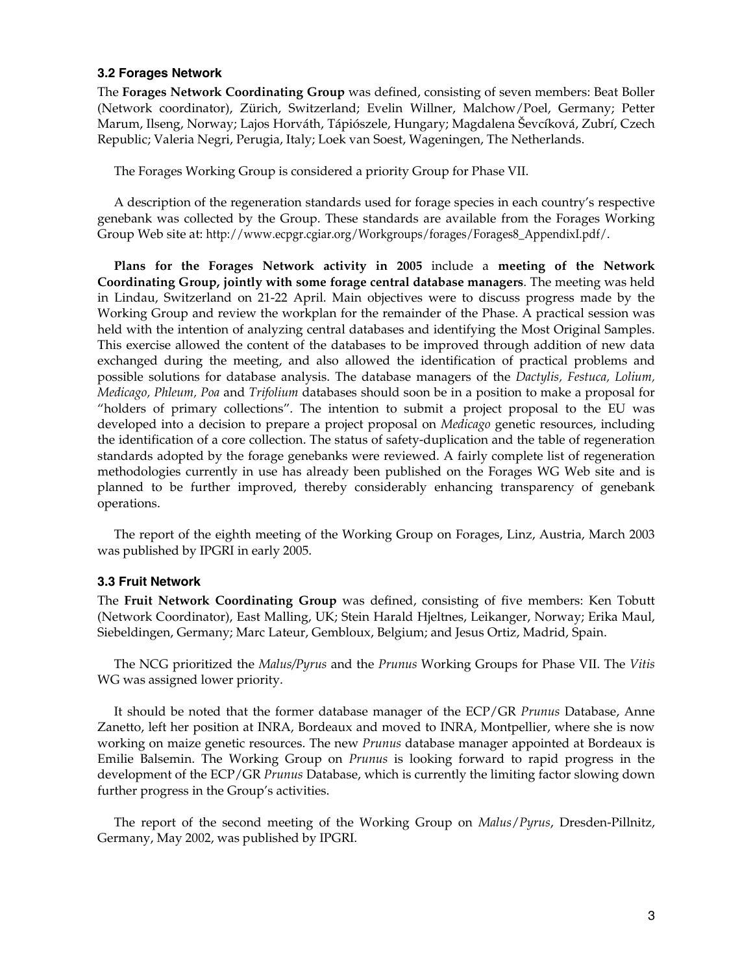#### **3.2 Forages Network**

The **Forages Network Coordinating Group** was defined, consisting of seven members: Beat Boller (Network coordinator), Zürich, Switzerland; Evelin Willner, Malchow/Poel, Germany; Petter Marum, Ilseng, Norway; Lajos Horváth, Tápiószele, Hungary; Magdalena Ševcíková, Zubrí, Czech Republic; Valeria Negri, Perugia, Italy; Loek van Soest, Wageningen, The Netherlands.

The Forages Working Group is considered a priority Group for Phase VII.

 A description of the regeneration standards used for forage species in each country's respective genebank was collected by the Group. These standards are available from the Forages Working Group Web site at: http://www.ecpgr.cgiar.org/Workgroups/forages/Forages8\_AppendixI.pdf/.

 **Plans for the Forages Network activity in 2005** include a **meeting of the Network Coordinating Group, jointly with some forage central database managers**. The meeting was held in Lindau, Switzerland on 21-22 April. Main objectives were to discuss progress made by the Working Group and review the workplan for the remainder of the Phase. A practical session was held with the intention of analyzing central databases and identifying the Most Original Samples. This exercise allowed the content of the databases to be improved through addition of new data exchanged during the meeting, and also allowed the identification of practical problems and possible solutions for database analysis. The database managers of the *Dactylis, Festuca, Lolium, Medicago, Phleum, Poa* and *Trifolium* databases should soon be in a position to make a proposal for "holders of primary collections". The intention to submit a project proposal to the EU was developed into a decision to prepare a project proposal on *Medicago* genetic resources, including the identification of a core collection. The status of safety-duplication and the table of regeneration standards adopted by the forage genebanks were reviewed. A fairly complete list of regeneration methodologies currently in use has already been published on the Forages WG Web site and is planned to be further improved, thereby considerably enhancing transparency of genebank operations.

The report of the eighth meeting of the Working Group on Forages, Linz, Austria, March 2003 was published by IPGRI in early 2005.

#### **3.3 Fruit Network**

The **Fruit Network Coordinating Group** was defined, consisting of five members: Ken Tobutt (Network Coordinator), East Malling, UK; Stein Harald Hjeltnes, Leikanger, Norway; Erika Maul, Siebeldingen, Germany; Marc Lateur, Gembloux, Belgium; and Jesus Ortiz, Madrid, Spain.

 The NCG prioritized the *Malus/Pyrus* and the *Prunus* Working Groups for Phase VII. The *Vitis* WG was assigned lower priority.

 It should be noted that the former database manager of the ECP/GR *Prunus* Database, Anne Zanetto, left her position at INRA, Bordeaux and moved to INRA, Montpellier, where she is now working on maize genetic resources. The new *Prunus* database manager appointed at Bordeaux is Emilie Balsemin. The Working Group on *Prunus* is looking forward to rapid progress in the development of the ECP/GR *Prunus* Database, which is currently the limiting factor slowing down further progress in the Group's activities.

 The report of the second meeting of the Working Group on *Malus*/*Pyrus*, Dresden-Pillnitz, Germany, May 2002, was published by IPGRI.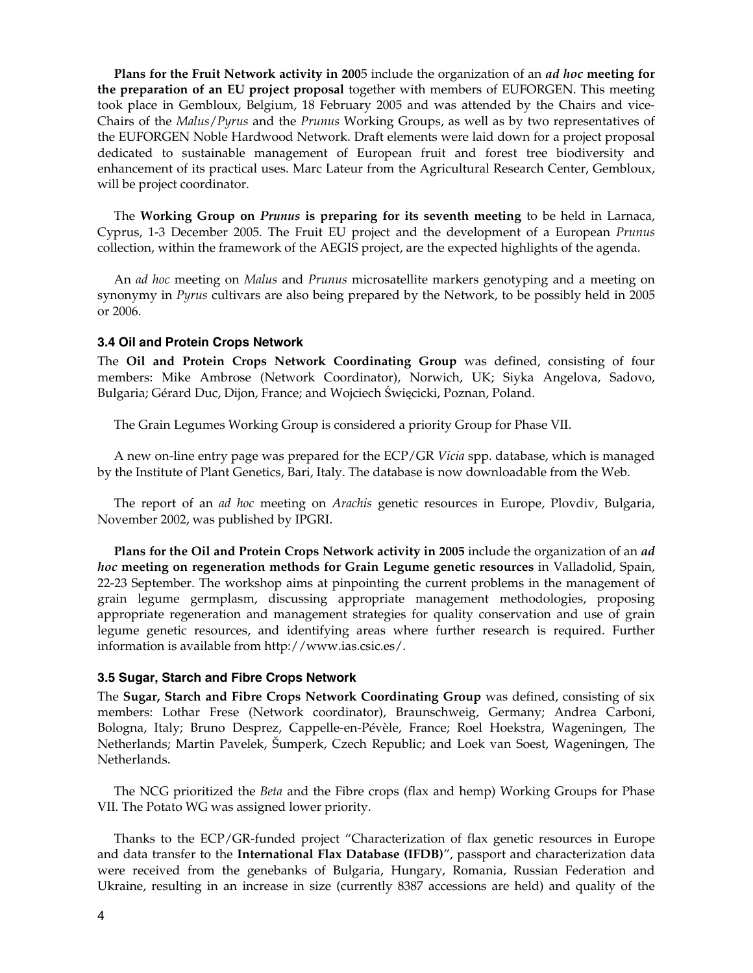**Plans for the Fruit Network activity in 200**5 include the organization of an *ad hoc* **meeting for the preparation of an EU project proposal** together with members of EUFORGEN. This meeting took place in Gembloux, Belgium, 18 February 2005 and was attended by the Chairs and vice-Chairs of the *Malus*/*Pyrus* and the *Prunus* Working Groups, as well as by two representatives of the EUFORGEN Noble Hardwood Network. Draft elements were laid down for a project proposal dedicated to sustainable management of European fruit and forest tree biodiversity and enhancement of its practical uses. Marc Lateur from the Agricultural Research Center, Gembloux, will be project coordinator.

 The **Working Group on** *Prunus* **is preparing for its seventh meeting** to be held in Larnaca, Cyprus, 1-3 December 2005. The Fruit EU project and the development of a European *Prunus* collection, within the framework of the AEGIS project, are the expected highlights of the agenda.

 An *ad hoc* meeting on *Malus* and *Prunus* microsatellite markers genotyping and a meeting on synonymy in *Pyrus* cultivars are also being prepared by the Network, to be possibly held in 2005 or 2006.

#### **3.4 Oil and Protein Crops Network**

The **Oil and Protein Crops Network Coordinating Group** was defined, consisting of four members: Mike Ambrose (Network Coordinator), Norwich, UK; Siyka Angelova, Sadovo, Bulgaria; Gérard Duc, Dijon, France; and Wojciech Święcicki, Poznan, Poland.

The Grain Legumes Working Group is considered a priority Group for Phase VII.

 A new on-line entry page was prepared for the ECP/GR *Vicia* spp. database, which is managed by the Institute of Plant Genetics, Bari, Italy. The database is now downloadable from the Web.

 The report of an *ad hoc* meeting on *Arachis* genetic resources in Europe, Plovdiv, Bulgaria, November 2002, was published by IPGRI.

**Plans for the Oil and Protein Crops Network activity in 2005** include the organization of an *ad hoc* **meeting on regeneration methods for Grain Legume genetic resources** in Valladolid, Spain, 22-23 September. The workshop aims at pinpointing the current problems in the management of grain legume germplasm, discussing appropriate management methodologies, proposing appropriate regeneration and management strategies for quality conservation and use of grain legume genetic resources, and identifying areas where further research is required. Further information is available from http://www.ias.csic.es/.

#### **3.5 Sugar, Starch and Fibre Crops Network**

The **Sugar, Starch and Fibre Crops Network Coordinating Group** was defined, consisting of six members: Lothar Frese (Network coordinator), Braunschweig, Germany; Andrea Carboni, Bologna, Italy; Bruno Desprez, Cappelle-en-Pévèle, France; Roel Hoekstra, Wageningen, The Netherlands; Martin Pavelek, Šumperk, Czech Republic; and Loek van Soest, Wageningen, The Netherlands.

 The NCG prioritized the *Beta* and the Fibre crops (flax and hemp) Working Groups for Phase VII. The Potato WG was assigned lower priority.

 Thanks to the ECP/GR-funded project "Characterization of flax genetic resources in Europe and data transfer to the **International Flax Database (IFDB)**", passport and characterization data were received from the genebanks of Bulgaria, Hungary, Romania, Russian Federation and Ukraine, resulting in an increase in size (currently 8387 accessions are held) and quality of the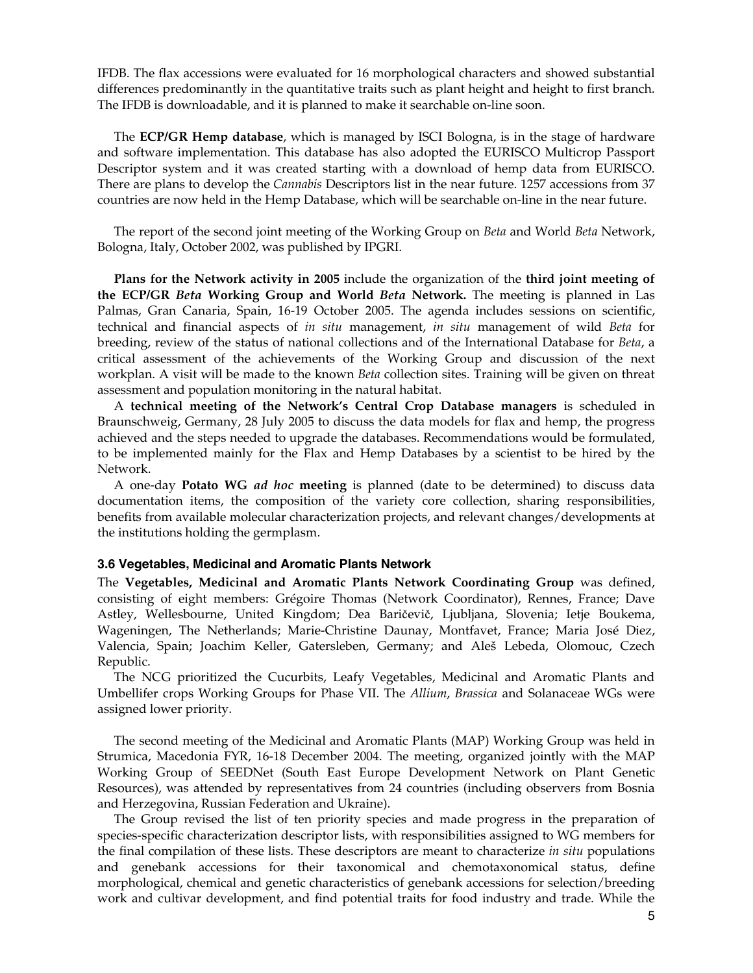IFDB. The flax accessions were evaluated for 16 morphological characters and showed substantial differences predominantly in the quantitative traits such as plant height and height to first branch. The IFDB is downloadable, and it is planned to make it searchable on-line soon.

 The **ECP/GR Hemp database**, which is managed by ISCI Bologna, is in the stage of hardware and software implementation. This database has also adopted the EURISCO Multicrop Passport Descriptor system and it was created starting with a download of hemp data from EURISCO. There are plans to develop the *Cannabis* Descriptors list in the near future. 1257 accessions from 37 countries are now held in the Hemp Database, which will be searchable on-line in the near future.

 The report of the second joint meeting of the Working Group on *Beta* and World *Beta* Network, Bologna, Italy, October 2002, was published by IPGRI.

**Plans for the Network activity in 2005** include the organization of the **third joint meeting of the ECP/GR** *Beta* **Working Group and World** *Beta* **Network.** The meeting is planned in Las Palmas, Gran Canaria, Spain, 16-19 October 2005. The agenda includes sessions on scientific, technical and financial aspects of *in situ* management, *in situ* management of wild *Beta* for breeding, review of the status of national collections and of the International Database for *Beta*, a critical assessment of the achievements of the Working Group and discussion of the next workplan. A visit will be made to the known *Beta* collection sites. Training will be given on threat assessment and population monitoring in the natural habitat.

 A **technical meeting of the Network's Central Crop Database managers** is scheduled in Braunschweig, Germany, 28 July 2005 to discuss the data models for flax and hemp, the progress achieved and the steps needed to upgrade the databases. Recommendations would be formulated, to be implemented mainly for the Flax and Hemp Databases by a scientist to be hired by the Network.

 A one-day **Potato WG** *ad hoc* **meeting** is planned (date to be determined) to discuss data documentation items, the composition of the variety core collection, sharing responsibilities, benefits from available molecular characterization projects, and relevant changes/developments at the institutions holding the germplasm.

#### **3.6 Vegetables, Medicinal and Aromatic Plants Network**

The **Vegetables, Medicinal and Aromatic Plants Network Coordinating Group** was defined, consisting of eight members: Grégoire Thomas (Network Coordinator), Rennes, France; Dave Astley, Wellesbourne, United Kingdom; Dea Baričevič, Ljubljana, Slovenia; Ietje Boukema, Wageningen, The Netherlands; Marie-Christine Daunay, Montfavet, France; Maria José Diez, Valencia, Spain; Joachim Keller, Gatersleben, Germany; and Aleš Lebeda, Olomouc, Czech Republic.

 The NCG prioritized the Cucurbits, Leafy Vegetables, Medicinal and Aromatic Plants and Umbellifer crops Working Groups for Phase VII. The *Allium*, *Brassica* and Solanaceae WGs were assigned lower priority.

 The second meeting of the Medicinal and Aromatic Plants (MAP) Working Group was held in Strumica, Macedonia FYR, 16-18 December 2004. The meeting, organized jointly with the MAP Working Group of SEEDNet (South East Europe Development Network on Plant Genetic Resources), was attended by representatives from 24 countries (including observers from Bosnia and Herzegovina, Russian Federation and Ukraine).

 The Group revised the list of ten priority species and made progress in the preparation of species-specific characterization descriptor lists, with responsibilities assigned to WG members for the final compilation of these lists. These descriptors are meant to characterize *in situ* populations and genebank accessions for their taxonomical and chemotaxonomical status, define morphological, chemical and genetic characteristics of genebank accessions for selection/breeding work and cultivar development, and find potential traits for food industry and trade. While the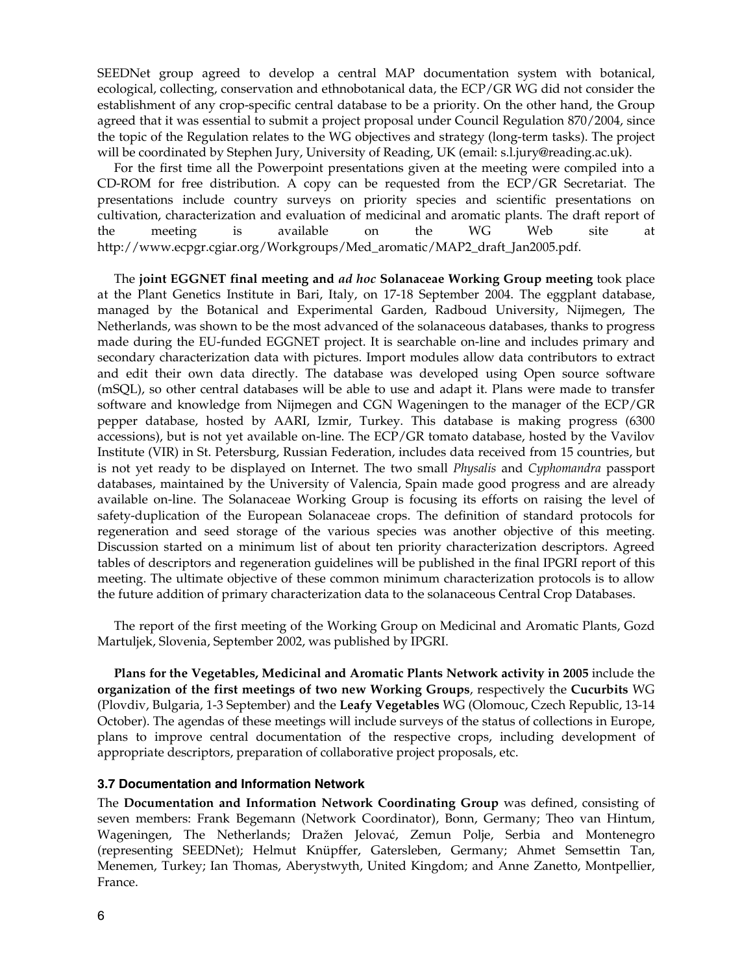SEEDNet group agreed to develop a central MAP documentation system with botanical, ecological, collecting, conservation and ethnobotanical data, the ECP/GR WG did not consider the establishment of any crop-specific central database to be a priority. On the other hand, the Group agreed that it was essential to submit a project proposal under Council Regulation 870/2004, since the topic of the Regulation relates to the WG objectives and strategy (long-term tasks). The project will be coordinated by Stephen Jury, University of Reading, UK (email: s.l.jury@reading.ac.uk).

 For the first time all the Powerpoint presentations given at the meeting were compiled into a CD-ROM for free distribution. A copy can be requested from the ECP/GR Secretariat. The presentations include country surveys on priority species and scientific presentations on cultivation, characterization and evaluation of medicinal and aromatic plants. The draft report of the meeting is available on the WG Web site at http://www.ecpgr.cgiar.org/Workgroups/Med\_aromatic/MAP2\_draft\_Jan2005.pdf.

 The **joint EGGNET final meeting and** *ad hoc* **Solanaceae Working Group meeting** took place at the Plant Genetics Institute in Bari, Italy, on 17-18 September 2004. The eggplant database, managed by the Botanical and Experimental Garden, Radboud University, Nijmegen, The Netherlands, was shown to be the most advanced of the solanaceous databases, thanks to progress made during the EU-funded EGGNET project. It is searchable on-line and includes primary and secondary characterization data with pictures. Import modules allow data contributors to extract and edit their own data directly. The database was developed using Open source software (mSQL), so other central databases will be able to use and adapt it. Plans were made to transfer software and knowledge from Nijmegen and CGN Wageningen to the manager of the ECP/GR pepper database, hosted by AARI, Izmir, Turkey. This database is making progress (6300 accessions), but is not yet available on-line. The ECP/GR tomato database, hosted by the Vavilov Institute (VIR) in St. Petersburg, Russian Federation, includes data received from 15 countries, but is not yet ready to be displayed on Internet. The two small *Physalis* and *Cyphomandra* passport databases, maintained by the University of Valencia, Spain made good progress and are already available on-line. The Solanaceae Working Group is focusing its efforts on raising the level of safety-duplication of the European Solanaceae crops. The definition of standard protocols for regeneration and seed storage of the various species was another objective of this meeting. Discussion started on a minimum list of about ten priority characterization descriptors. Agreed tables of descriptors and regeneration guidelines will be published in the final IPGRI report of this meeting. The ultimate objective of these common minimum characterization protocols is to allow the future addition of primary characterization data to the solanaceous Central Crop Databases.

 The report of the first meeting of the Working Group on Medicinal and Aromatic Plants, Gozd Martuljek, Slovenia, September 2002, was published by IPGRI.

**Plans for the Vegetables, Medicinal and Aromatic Plants Network activity in 2005** include the **organization of the first meetings of two new Working Groups**, respectively the **Cucurbits** WG (Plovdiv, Bulgaria, 1-3 September) and the **Leafy Vegetables** WG (Olomouc, Czech Republic, 13-14 October). The agendas of these meetings will include surveys of the status of collections in Europe, plans to improve central documentation of the respective crops, including development of appropriate descriptors, preparation of collaborative project proposals, etc.

#### **3.7 Documentation and Information Network**

The **Documentation and Information Network Coordinating Group** was defined, consisting of seven members: Frank Begemann (Network Coordinator), Bonn, Germany; Theo van Hintum, Wageningen, The Netherlands; Dražen Jelovać, Zemun Polje, Serbia and Montenegro (representing SEEDNet); Helmut Knüpffer, Gatersleben, Germany; Ahmet Semsettin Tan, Menemen, Turkey; Ian Thomas, Aberystwyth, United Kingdom; and Anne Zanetto, Montpellier, France.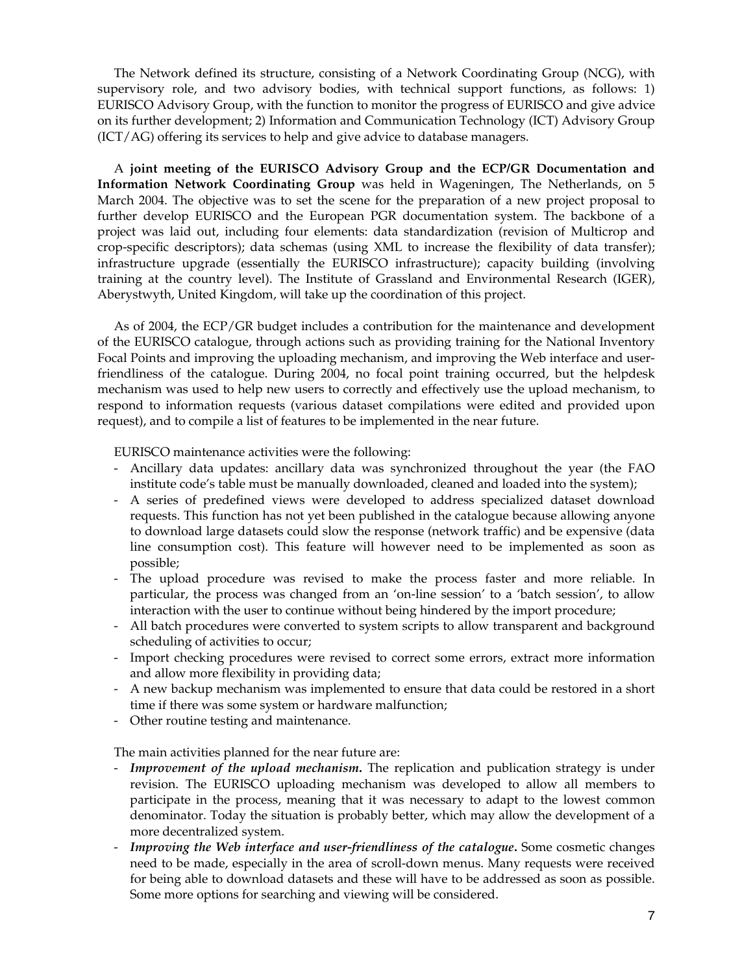The Network defined its structure, consisting of a Network Coordinating Group (NCG), with supervisory role, and two advisory bodies, with technical support functions, as follows: 1) EURISCO Advisory Group, with the function to monitor the progress of EURISCO and give advice on its further development; 2) Information and Communication Technology (ICT) Advisory Group (ICT/AG) offering its services to help and give advice to database managers.

 A **joint meeting of the EURISCO Advisory Group and the ECP/GR Documentation and Information Network Coordinating Group** was held in Wageningen, The Netherlands, on 5 March 2004. The objective was to set the scene for the preparation of a new project proposal to further develop EURISCO and the European PGR documentation system. The backbone of a project was laid out, including four elements: data standardization (revision of Multicrop and crop-specific descriptors); data schemas (using XML to increase the flexibility of data transfer); infrastructure upgrade (essentially the EURISCO infrastructure); capacity building (involving training at the country level). The Institute of Grassland and Environmental Research (IGER), Aberystwyth, United Kingdom, will take up the coordination of this project.

 As of 2004, the ECP/GR budget includes a contribution for the maintenance and development of the EURISCO catalogue, through actions such as providing training for the National Inventory Focal Points and improving the uploading mechanism, and improving the Web interface and userfriendliness of the catalogue. During 2004, no focal point training occurred, but the helpdesk mechanism was used to help new users to correctly and effectively use the upload mechanism, to respond to information requests (various dataset compilations were edited and provided upon request), and to compile a list of features to be implemented in the near future.

EURISCO maintenance activities were the following:

- Ancillary data updates: ancillary data was synchronized throughout the year (the FAO institute code's table must be manually downloaded, cleaned and loaded into the system);
- A series of predefined views were developed to address specialized dataset download requests. This function has not yet been published in the catalogue because allowing anyone to download large datasets could slow the response (network traffic) and be expensive (data line consumption cost). This feature will however need to be implemented as soon as possible;
- The upload procedure was revised to make the process faster and more reliable. In particular, the process was changed from an 'on-line session' to a 'batch session', to allow interaction with the user to continue without being hindered by the import procedure;
- All batch procedures were converted to system scripts to allow transparent and background scheduling of activities to occur;
- Import checking procedures were revised to correct some errors, extract more information and allow more flexibility in providing data;
- A new backup mechanism was implemented to ensure that data could be restored in a short time if there was some system or hardware malfunction;
- Other routine testing and maintenance.

The main activities planned for the near future are:

- *Improvement of the upload mechanism***.** The replication and publication strategy is under revision. The EURISCO uploading mechanism was developed to allow all members to participate in the process, meaning that it was necessary to adapt to the lowest common denominator. Today the situation is probably better, which may allow the development of a more decentralized system.
- *Improving the Web interface and user-friendliness of the catalogue***.** Some cosmetic changes need to be made, especially in the area of scroll-down menus. Many requests were received for being able to download datasets and these will have to be addressed as soon as possible. Some more options for searching and viewing will be considered.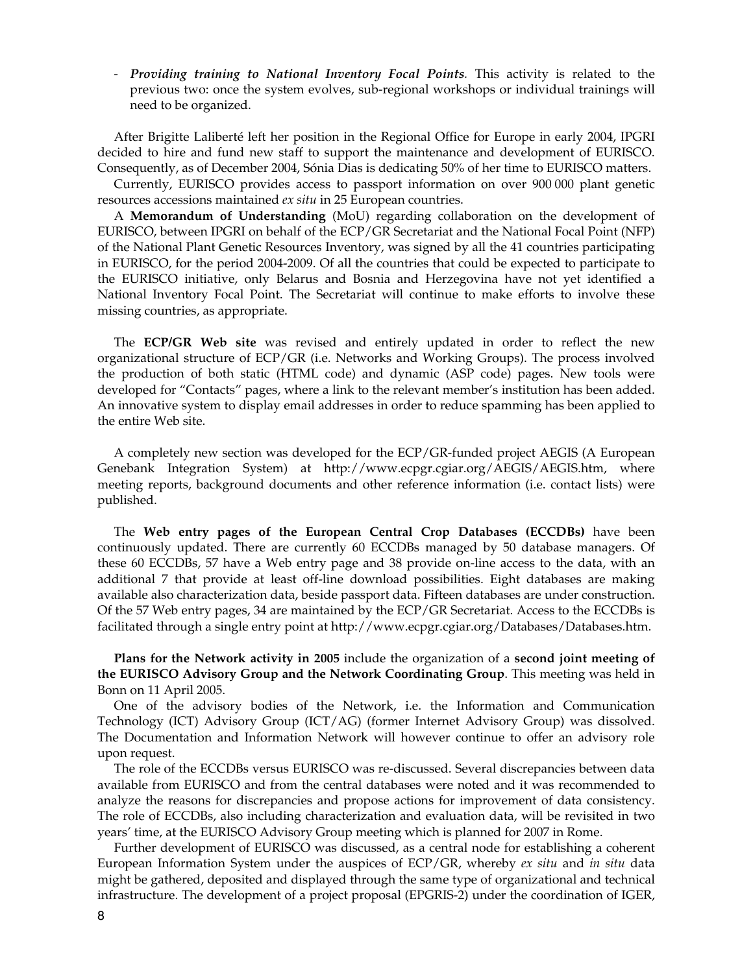- *Providing training to National Inventory Focal Points.* This activity is related to the previous two: once the system evolves, sub-regional workshops or individual trainings will need to be organized.

 After Brigitte Laliberté left her position in the Regional Office for Europe in early 2004, IPGRI decided to hire and fund new staff to support the maintenance and development of EURISCO. Consequently, as of December 2004, Sónia Dias is dedicating 50% of her time to EURISCO matters.

 Currently, EURISCO provides access to passport information on over 900 000 plant genetic resources accessions maintained *ex situ* in 25 European countries.

 A **Memorandum of Understanding** (MoU) regarding collaboration on the development of EURISCO, between IPGRI on behalf of the ECP/GR Secretariat and the National Focal Point (NFP) of the National Plant Genetic Resources Inventory, was signed by all the 41 countries participating in EURISCO, for the period 2004-2009. Of all the countries that could be expected to participate to the EURISCO initiative, only Belarus and Bosnia and Herzegovina have not yet identified a National Inventory Focal Point. The Secretariat will continue to make efforts to involve these missing countries, as appropriate.

 The **ECP/GR Web site** was revised and entirely updated in order to reflect the new organizational structure of ECP/GR (i.e. Networks and Working Groups). The process involved the production of both static (HTML code) and dynamic (ASP code) pages. New tools were developed for "Contacts" pages, where a link to the relevant member's institution has been added. An innovative system to display email addresses in order to reduce spamming has been applied to the entire Web site.

 A completely new section was developed for the ECP/GR-funded project AEGIS (A European Genebank Integration System) at http://www.ecpgr.cgiar.org/AEGIS/AEGIS.htm, where meeting reports, background documents and other reference information (i.e. contact lists) were published.

 The **Web entry pages of the European Central Crop Databases (ECCDBs)** have been continuously updated. There are currently 60 ECCDBs managed by 50 database managers. Of these 60 ECCDBs, 57 have a Web entry page and 38 provide on-line access to the data, with an additional 7 that provide at least off-line download possibilities. Eight databases are making available also characterization data, beside passport data. Fifteen databases are under construction. Of the 57 Web entry pages, 34 are maintained by the ECP/GR Secretariat. Access to the ECCDBs is facilitated through a single entry point at http://www.ecpgr.cgiar.org/Databases/Databases.htm.

**Plans for the Network activity in 2005** include the organization of a **second joint meeting of the EURISCO Advisory Group and the Network Coordinating Group**. This meeting was held in Bonn on 11 April 2005.

 One of the advisory bodies of the Network, i.e. the Information and Communication Technology (ICT) Advisory Group (ICT/AG) (former Internet Advisory Group) was dissolved. The Documentation and Information Network will however continue to offer an advisory role upon request.

 The role of the ECCDBs versus EURISCO was re-discussed. Several discrepancies between data available from EURISCO and from the central databases were noted and it was recommended to analyze the reasons for discrepancies and propose actions for improvement of data consistency. The role of ECCDBs, also including characterization and evaluation data, will be revisited in two years' time, at the EURISCO Advisory Group meeting which is planned for 2007 in Rome.

 Further development of EURISCO was discussed, as a central node for establishing a coherent European Information System under the auspices of ECP/GR, whereby *ex situ* and *in situ* data might be gathered, deposited and displayed through the same type of organizational and technical infrastructure. The development of a project proposal (EPGRIS-2) under the coordination of IGER,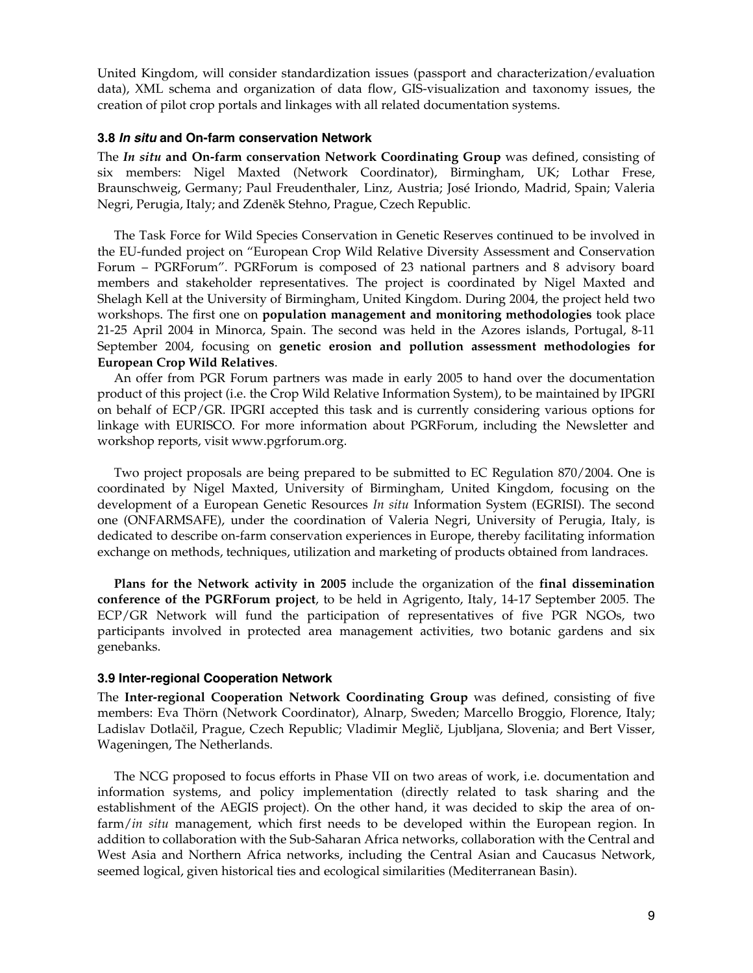United Kingdom, will consider standardization issues (passport and characterization/evaluation data), XML schema and organization of data flow, GIS-visualization and taxonomy issues, the creation of pilot crop portals and linkages with all related documentation systems.

#### **3.8** *In situ* **and On-farm conservation Network**

The *In situ* **and On-farm conservation Network Coordinating Group** was defined, consisting of six members: Nigel Maxted (Network Coordinator), Birmingham, UK; Lothar Frese, Braunschweig, Germany; Paul Freudenthaler, Linz, Austria; José Iriondo, Madrid, Spain; Valeria Negri, Perugia, Italy; and Zdeněk Stehno, Prague, Czech Republic.

 The Task Force for Wild Species Conservation in Genetic Reserves continued to be involved in the EU-funded project on "European Crop Wild Relative Diversity Assessment and Conservation Forum – PGRForum". PGRForum is composed of 23 national partners and 8 advisory board members and stakeholder representatives. The project is coordinated by Nigel Maxted and Shelagh Kell at the University of Birmingham, United Kingdom. During 2004, the project held two workshops. The first one on **population management and monitoring methodologies** took place 21-25 April 2004 in Minorca, Spain. The second was held in the Azores islands, Portugal, 8-11 September 2004, focusing on **genetic erosion and pollution assessment methodologies for European Crop Wild Relatives**.

 An offer from PGR Forum partners was made in early 2005 to hand over the documentation product of this project (i.e. the Crop Wild Relative Information System), to be maintained by IPGRI on behalf of ECP/GR. IPGRI accepted this task and is currently considering various options for linkage with EURISCO. For more information about PGRForum, including the Newsletter and workshop reports, visit www.pgrforum.org.

 Two project proposals are being prepared to be submitted to EC Regulation 870/2004. One is coordinated by Nigel Maxted, University of Birmingham, United Kingdom, focusing on the development of a European Genetic Resources *In situ* Information System (EGRISI). The second one (ONFARMSAFE), under the coordination of Valeria Negri, University of Perugia, Italy, is dedicated to describe on-farm conservation experiences in Europe, thereby facilitating information exchange on methods, techniques, utilization and marketing of products obtained from landraces.

**Plans for the Network activity in 2005** include the organization of the **final dissemination conference of the PGRForum project**, to be held in Agrigento, Italy, 14-17 September 2005. The ECP/GR Network will fund the participation of representatives of five PGR NGOs, two participants involved in protected area management activities, two botanic gardens and six genebanks.

#### **3.9 Inter-regional Cooperation Network**

The **Inter-regional Cooperation Network Coordinating Group** was defined, consisting of five members: Eva Thörn (Network Coordinator), Alnarp, Sweden; Marcello Broggio, Florence, Italy; Ladislav Dotlačil, Prague, Czech Republic; Vladimir Meglič, Ljubljana, Slovenia; and Bert Visser, Wageningen, The Netherlands.

 The NCG proposed to focus efforts in Phase VII on two areas of work, i.e. documentation and information systems, and policy implementation (directly related to task sharing and the establishment of the AEGIS project). On the other hand, it was decided to skip the area of onfarm/*in situ* management, which first needs to be developed within the European region. In addition to collaboration with the Sub-Saharan Africa networks, collaboration with the Central and West Asia and Northern Africa networks, including the Central Asian and Caucasus Network, seemed logical, given historical ties and ecological similarities (Mediterranean Basin).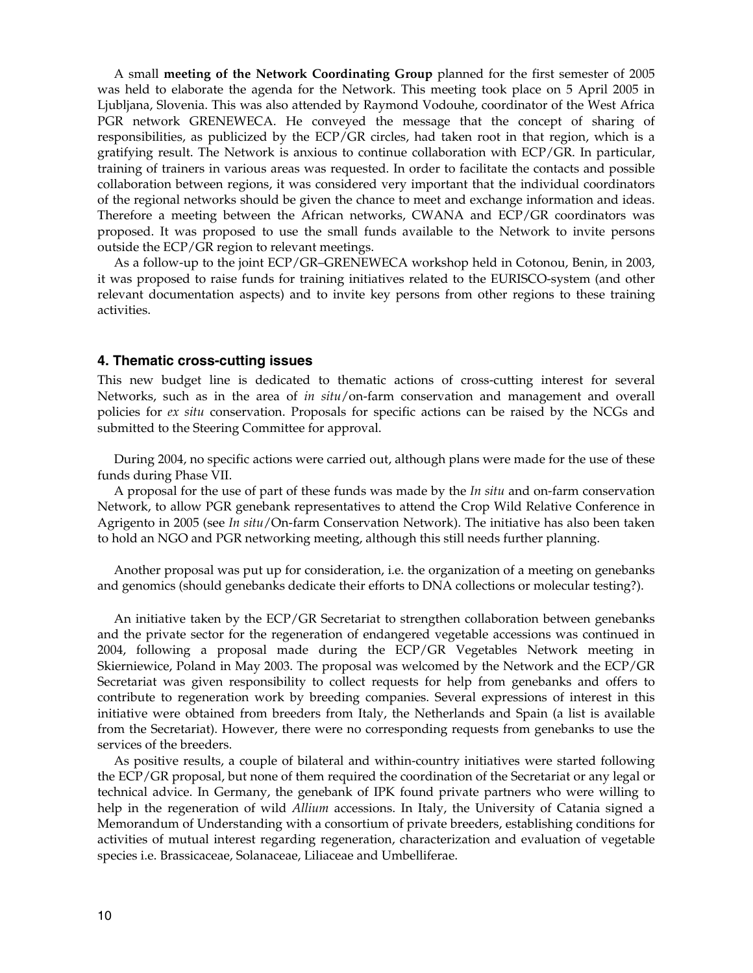A small **meeting of the Network Coordinating Group** planned for the first semester of 2005 was held to elaborate the agenda for the Network. This meeting took place on 5 April 2005 in Ljubljana, Slovenia. This was also attended by Raymond Vodouhe, coordinator of the West Africa PGR network GRENEWECA. He conveyed the message that the concept of sharing of responsibilities, as publicized by the ECP/GR circles, had taken root in that region, which is a gratifying result. The Network is anxious to continue collaboration with ECP/GR. In particular, training of trainers in various areas was requested. In order to facilitate the contacts and possible collaboration between regions, it was considered very important that the individual coordinators of the regional networks should be given the chance to meet and exchange information and ideas. Therefore a meeting between the African networks, CWANA and ECP/GR coordinators was proposed. It was proposed to use the small funds available to the Network to invite persons outside the ECP/GR region to relevant meetings.

 As a follow-up to the joint ECP/GR–GRENEWECA workshop held in Cotonou, Benin, in 2003, it was proposed to raise funds for training initiatives related to the EURISCO-system (and other relevant documentation aspects) and to invite key persons from other regions to these training activities.

#### **4. Thematic cross-cutting issues**

This new budget line is dedicated to thematic actions of cross-cutting interest for several Networks, such as in the area of *in situ*/on-farm conservation and management and overall policies for *ex situ* conservation. Proposals for specific actions can be raised by the NCGs and submitted to the Steering Committee for approval.

 During 2004, no specific actions were carried out, although plans were made for the use of these funds during Phase VII.

 A proposal for the use of part of these funds was made by the *In situ* and on-farm conservation Network, to allow PGR genebank representatives to attend the Crop Wild Relative Conference in Agrigento in 2005 (see *In situ*/On-farm Conservation Network). The initiative has also been taken to hold an NGO and PGR networking meeting, although this still needs further planning.

 Another proposal was put up for consideration, i.e. the organization of a meeting on genebanks and genomics (should genebanks dedicate their efforts to DNA collections or molecular testing?).

 An initiative taken by the ECP/GR Secretariat to strengthen collaboration between genebanks and the private sector for the regeneration of endangered vegetable accessions was continued in 2004, following a proposal made during the ECP/GR Vegetables Network meeting in Skierniewice, Poland in May 2003. The proposal was welcomed by the Network and the ECP/GR Secretariat was given responsibility to collect requests for help from genebanks and offers to contribute to regeneration work by breeding companies. Several expressions of interest in this initiative were obtained from breeders from Italy, the Netherlands and Spain (a list is available from the Secretariat). However, there were no corresponding requests from genebanks to use the services of the breeders.

 As positive results, a couple of bilateral and within-country initiatives were started following the ECP/GR proposal, but none of them required the coordination of the Secretariat or any legal or technical advice. In Germany, the genebank of IPK found private partners who were willing to help in the regeneration of wild *Allium* accessions. In Italy, the University of Catania signed a Memorandum of Understanding with a consortium of private breeders, establishing conditions for activities of mutual interest regarding regeneration, characterization and evaluation of vegetable species i.e. Brassicaceae, Solanaceae, Liliaceae and Umbelliferae.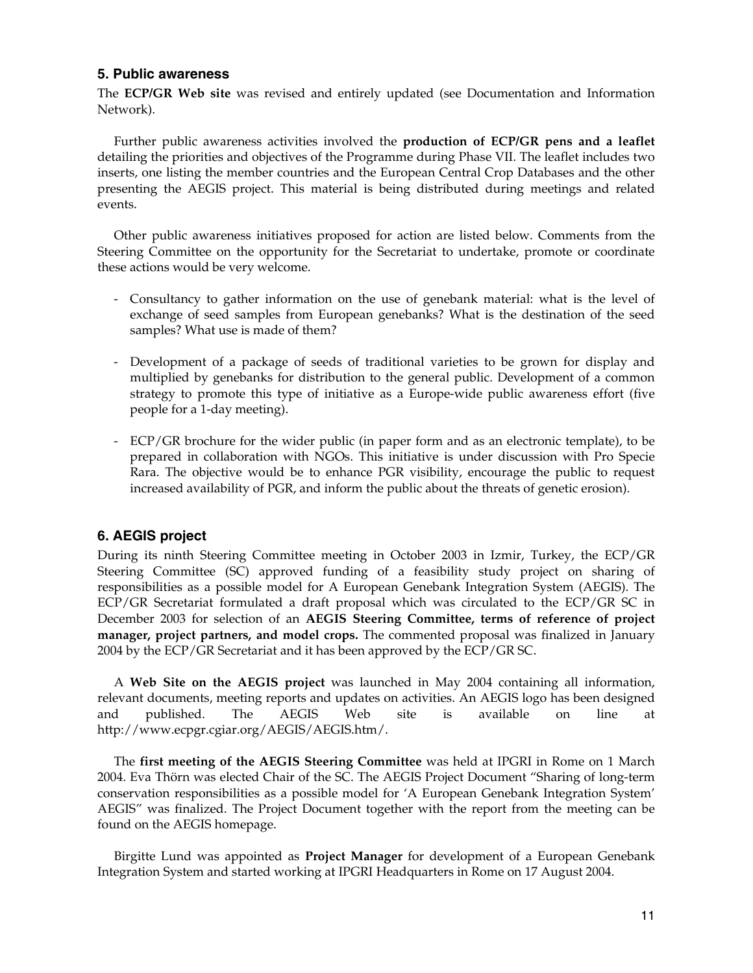## **5. Public awareness**

The **ECP/GR Web site** was revised and entirely updated (see Documentation and Information Network).

 Further public awareness activities involved the **production of ECP/GR pens and a leaflet** detailing the priorities and objectives of the Programme during Phase VII. The leaflet includes two inserts, one listing the member countries and the European Central Crop Databases and the other presenting the AEGIS project. This material is being distributed during meetings and related events.

 Other public awareness initiatives proposed for action are listed below. Comments from the Steering Committee on the opportunity for the Secretariat to undertake, promote or coordinate these actions would be very welcome.

- Consultancy to gather information on the use of genebank material: what is the level of exchange of seed samples from European genebanks? What is the destination of the seed samples? What use is made of them?
- Development of a package of seeds of traditional varieties to be grown for display and multiplied by genebanks for distribution to the general public. Development of a common strategy to promote this type of initiative as a Europe-wide public awareness effort (five people for a 1-day meeting).
- ECP/GR brochure for the wider public (in paper form and as an electronic template), to be prepared in collaboration with NGOs. This initiative is under discussion with Pro Specie Rara. The objective would be to enhance PGR visibility, encourage the public to request increased availability of PGR, and inform the public about the threats of genetic erosion).

## **6. AEGIS project**

During its ninth Steering Committee meeting in October 2003 in Izmir, Turkey, the ECP/GR Steering Committee (SC) approved funding of a feasibility study project on sharing of responsibilities as a possible model for A European Genebank Integration System (AEGIS). The ECP/GR Secretariat formulated a draft proposal which was circulated to the ECP/GR SC in December 2003 for selection of an **AEGIS Steering Committee, terms of reference of project manager, project partners, and model crops.** The commented proposal was finalized in January 2004 by the ECP/GR Secretariat and it has been approved by the ECP/GR SC.

 A **Web Site on the AEGIS project** was launched in May 2004 containing all information, relevant documents, meeting reports and updates on activities. An AEGIS logo has been designed and published. The AEGIS Web site is available on line at http://www.ecpgr.cgiar.org/AEGIS/AEGIS.htm/.

 The **first meeting of the AEGIS Steering Committee** was held at IPGRI in Rome on 1 March 2004. Eva Thörn was elected Chair of the SC. The AEGIS Project Document "Sharing of long-term conservation responsibilities as a possible model for 'A European Genebank Integration System' AEGIS" was finalized. The Project Document together with the report from the meeting can be found on the AEGIS homepage.

 Birgitte Lund was appointed as **Project Manager** for development of a European Genebank Integration System and started working at IPGRI Headquarters in Rome on 17 August 2004.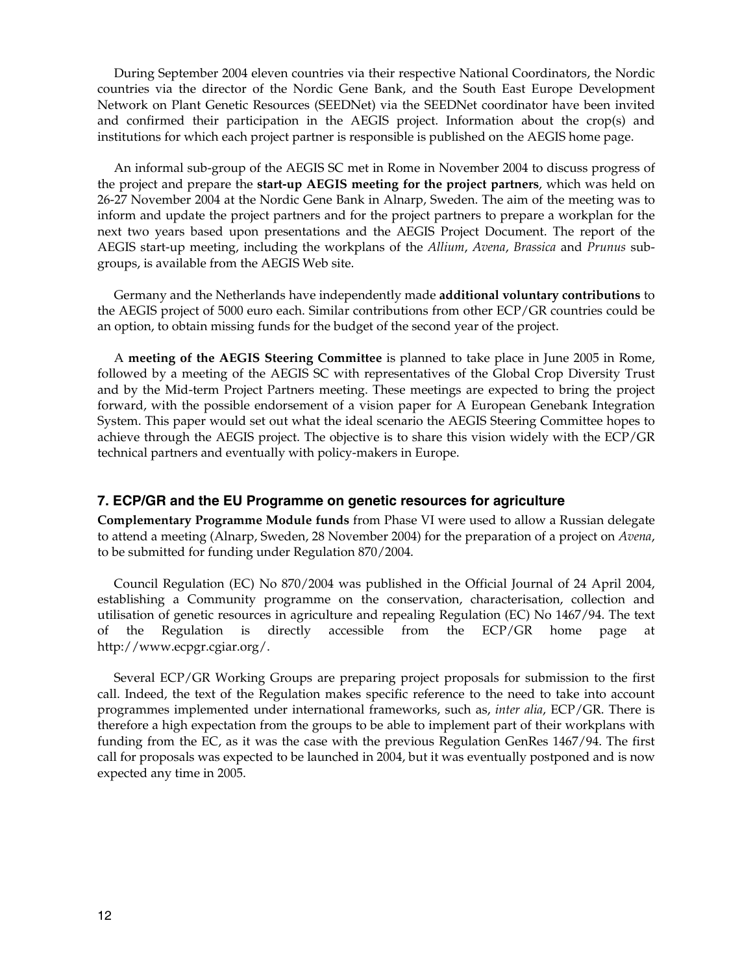During September 2004 eleven countries via their respective National Coordinators, the Nordic countries via the director of the Nordic Gene Bank, and the South East Europe Development Network on Plant Genetic Resources (SEEDNet) via the SEEDNet coordinator have been invited and confirmed their participation in the AEGIS project. Information about the crop(s) and institutions for which each project partner is responsible is published on the AEGIS home page.

 An informal sub-group of the AEGIS SC met in Rome in November 2004 to discuss progress of the project and prepare the **start-up AEGIS meeting for the project partners**, which was held on 26-27 November 2004 at the Nordic Gene Bank in Alnarp, Sweden. The aim of the meeting was to inform and update the project partners and for the project partners to prepare a workplan for the next two years based upon presentations and the AEGIS Project Document. The report of the AEGIS start-up meeting, including the workplans of the *Allium*, *Avena*, *Brassica* and *Prunus* subgroups, is available from the AEGIS Web site.

 Germany and the Netherlands have independently made **additional voluntary contributions** to the AEGIS project of 5000 euro each. Similar contributions from other ECP/GR countries could be an option, to obtain missing funds for the budget of the second year of the project.

 A **meeting of the AEGIS Steering Committee** is planned to take place in June 2005 in Rome, followed by a meeting of the AEGIS SC with representatives of the Global Crop Diversity Trust and by the Mid-term Project Partners meeting. These meetings are expected to bring the project forward, with the possible endorsement of a vision paper for A European Genebank Integration System. This paper would set out what the ideal scenario the AEGIS Steering Committee hopes to achieve through the AEGIS project. The objective is to share this vision widely with the ECP/GR technical partners and eventually with policy-makers in Europe.

#### **7. ECP/GR and the EU Programme on genetic resources for agriculture**

**Complementary Programme Module funds** from Phase VI were used to allow a Russian delegate to attend a meeting (Alnarp, Sweden, 28 November 2004) for the preparation of a project on *Avena*, to be submitted for funding under Regulation 870/2004.

 Council Regulation (EC) No 870/2004 was published in the Official Journal of 24 April 2004, establishing a Community programme on the conservation, characterisation, collection and utilisation of genetic resources in agriculture and repealing Regulation (EC) No 1467/94. The text of the Regulation is directly accessible from the ECP/GR home page at http://www.ecpgr.cgiar.org/.

 Several ECP/GR Working Groups are preparing project proposals for submission to the first call. Indeed, the text of the Regulation makes specific reference to the need to take into account programmes implemented under international frameworks, such as, *inter alia*, ECP/GR. There is therefore a high expectation from the groups to be able to implement part of their workplans with funding from the EC, as it was the case with the previous Regulation GenRes 1467/94. The first call for proposals was expected to be launched in 2004, but it was eventually postponed and is now expected any time in 2005.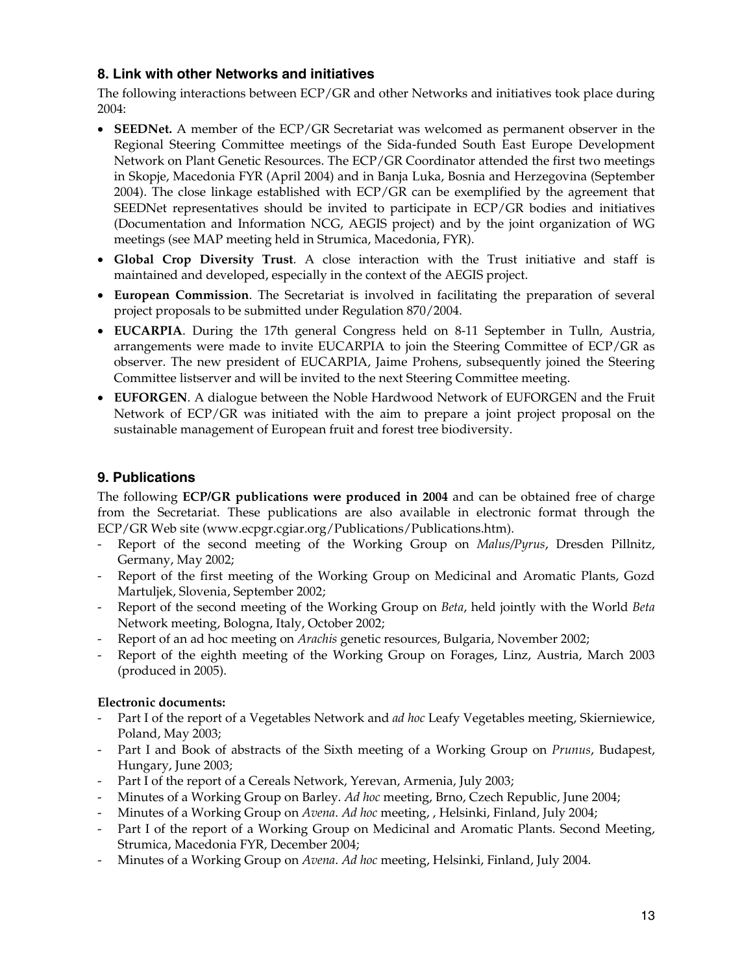# **8. Link with other Networks and initiatives**

The following interactions between ECP/GR and other Networks and initiatives took place during 2004:

- **SEEDNet.** A member of the ECP/GR Secretariat was welcomed as permanent observer in the Regional Steering Committee meetings of the Sida-funded South East Europe Development Network on Plant Genetic Resources. The ECP/GR Coordinator attended the first two meetings in Skopje, Macedonia FYR (April 2004) and in Banja Luka, Bosnia and Herzegovina (September 2004). The close linkage established with ECP/GR can be exemplified by the agreement that SEEDNet representatives should be invited to participate in ECP/GR bodies and initiatives (Documentation and Information NCG, AEGIS project) and by the joint organization of WG meetings (see MAP meeting held in Strumica, Macedonia, FYR).
- **Global Crop Diversity Trust**. A close interaction with the Trust initiative and staff is maintained and developed, especially in the context of the AEGIS project.
- **European Commission**. The Secretariat is involved in facilitating the preparation of several project proposals to be submitted under Regulation 870/2004.
- **EUCARPIA**. During the 17th general Congress held on 8-11 September in Tulln, Austria, arrangements were made to invite EUCARPIA to join the Steering Committee of ECP/GR as observer. The new president of EUCARPIA, Jaime Prohens, subsequently joined the Steering Committee listserver and will be invited to the next Steering Committee meeting.
- **EUFORGEN**. A dialogue between the Noble Hardwood Network of EUFORGEN and the Fruit Network of ECP/GR was initiated with the aim to prepare a joint project proposal on the sustainable management of European fruit and forest tree biodiversity.

# **9. Publications**

The following **ECP/GR publications were produced in 2004** and can be obtained free of charge from the Secretariat. These publications are also available in electronic format through the ECP/GR Web site (www.ecpgr.cgiar.org/Publications/Publications.htm).

- Report of the second meeting of the Working Group on *Malus/Pyrus*, Dresden Pillnitz, Germany, May 2002;
- Report of the first meeting of the Working Group on Medicinal and Aromatic Plants, Gozd Martuljek, Slovenia, September 2002;
- Report of the second meeting of the Working Group on *Beta*, held jointly with the World *Beta* Network meeting, Bologna, Italy, October 2002;
- Report of an ad hoc meeting on *Arachis* genetic resources, Bulgaria, November 2002;
- Report of the eighth meeting of the Working Group on Forages, Linz, Austria, March 2003 (produced in 2005).

# **Electronic documents:**

- Part I of the report of a Vegetables Network and *ad hoc* Leafy Vegetables meeting, Skierniewice, Poland, May 2003;
- Part I and Book of abstracts of the Sixth meeting of a Working Group on *Prunus*, Budapest, Hungary, June 2003;
- Part I of the report of a Cereals Network, Yerevan, Armenia, July 2003;
- Minutes of a Working Group on Barley. *Ad hoc* meeting, Brno, Czech Republic, June 2004;
- Minutes of a Working Group on *Avena*. *Ad hoc* meeting, , Helsinki, Finland, July 2004;
- Part I of the report of a Working Group on Medicinal and Aromatic Plants. Second Meeting, Strumica, Macedonia FYR, December 2004;
- Minutes of a Working Group on *Avena*. *Ad hoc* meeting, Helsinki, Finland, July 2004.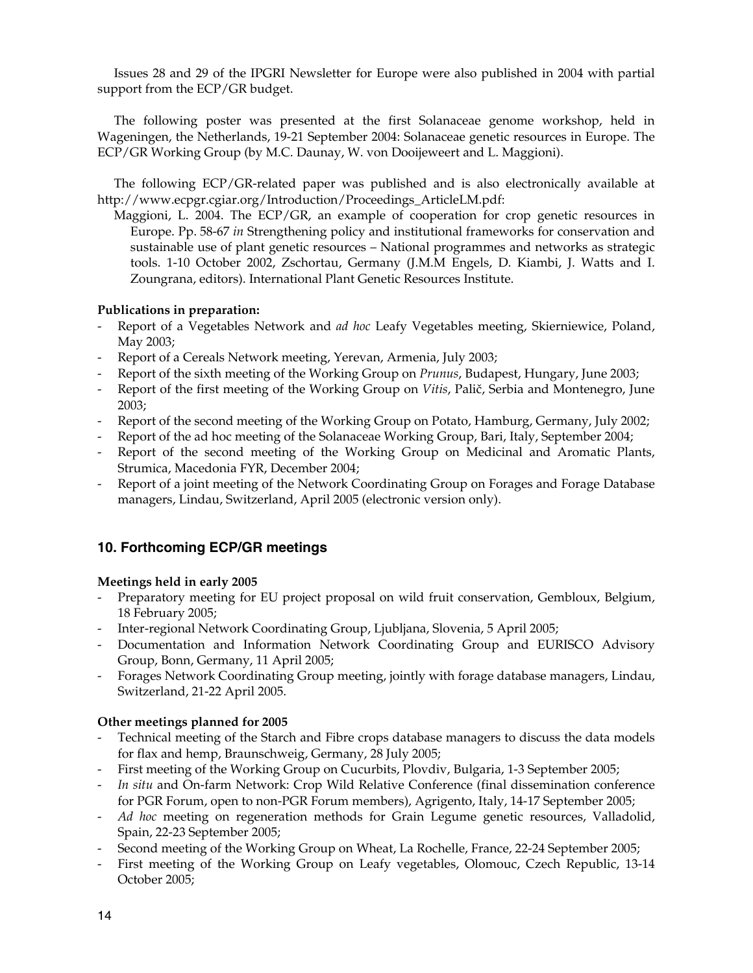Issues 28 and 29 of the IPGRI Newsletter for Europe were also published in 2004 with partial support from the ECP/GR budget.

 The following poster was presented at the first Solanaceae genome workshop, held in Wageningen, the Netherlands, 19-21 September 2004: Solanaceae genetic resources in Europe. The ECP/GR Working Group (by M.C. Daunay, W. von Dooijeweert and L. Maggioni).

 The following ECP/GR-related paper was published and is also electronically available at http://www.ecpgr.cgiar.org/Introduction/Proceedings\_ArticleLM.pdf:

Maggioni, L. 2004. The ECP/GR, an example of cooperation for crop genetic resources in Europe. Pp. 58-67 *in* Strengthening policy and institutional frameworks for conservation and sustainable use of plant genetic resources – National programmes and networks as strategic tools. 1-10 October 2002, Zschortau, Germany (J.M.M Engels, D. Kiambi, J. Watts and I. Zoungrana, editors). International Plant Genetic Resources Institute.

## **Publications in preparation:**

- Report of a Vegetables Network and *ad hoc* Leafy Vegetables meeting, Skierniewice, Poland, May 2003;
- Report of a Cereals Network meeting, Yerevan, Armenia, July 2003;
- Report of the sixth meeting of the Working Group on *Prunus*, Budapest, Hungary, June 2003;
- Report of the first meeting of the Working Group on *Vitis*, Palič, Serbia and Montenegro, June 2003;
- Report of the second meeting of the Working Group on Potato, Hamburg, Germany, July 2002;
- Report of the ad hoc meeting of the Solanaceae Working Group, Bari, Italy, September 2004;
- Report of the second meeting of the Working Group on Medicinal and Aromatic Plants, Strumica, Macedonia FYR, December 2004;
- Report of a joint meeting of the Network Coordinating Group on Forages and Forage Database managers, Lindau, Switzerland, April 2005 (electronic version only).

# **10. Forthcoming ECP/GR meetings**

## **Meetings held in early 2005**

- Preparatory meeting for EU project proposal on wild fruit conservation, Gembloux, Belgium, 18 February 2005;
- Inter-regional Network Coordinating Group, Ljubljana, Slovenia, 5 April 2005;
- Documentation and Information Network Coordinating Group and EURISCO Advisory Group, Bonn, Germany, 11 April 2005;
- Forages Network Coordinating Group meeting, jointly with forage database managers, Lindau, Switzerland, 21-22 April 2005.

## **Other meetings planned for 2005**

- Technical meeting of the Starch and Fibre crops database managers to discuss the data models for flax and hemp, Braunschweig, Germany, 28 July 2005;
- First meeting of the Working Group on Cucurbits, Plovdiv, Bulgaria, 1-3 September 2005;
- *In situ* and On-farm Network: Crop Wild Relative Conference (final dissemination conference for PGR Forum, open to non-PGR Forum members), Agrigento, Italy, 14-17 September 2005;
- *Ad hoc* meeting on regeneration methods for Grain Legume genetic resources, Valladolid, Spain, 22-23 September 2005;
- Second meeting of the Working Group on Wheat, La Rochelle, France, 22-24 September 2005;
- First meeting of the Working Group on Leafy vegetables, Olomouc, Czech Republic, 13-14 October 2005;